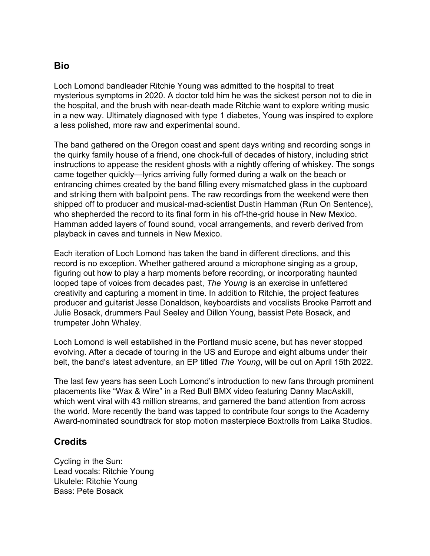## **Bio**

Loch Lomond bandleader Ritchie Young was admitted to the hospital to treat mysterious symptoms in 2020. A doctor told him he was the sickest person not to die in the hospital, and the brush with near-death made Ritchie want to explore writing music in a new way. Ultimately diagnosed with type 1 diabetes, Young was inspired to explore a less polished, more raw and experimental sound.

The band gathered on the Oregon coast and spent days writing and recording songs in the quirky family house of a friend, one chock-full of decades of history, including strict instructions to appease the resident ghosts with a nightly offering of whiskey. The songs came together quickly—lyrics arriving fully formed during a walk on the beach or entrancing chimes created by the band filling every mismatched glass in the cupboard and striking them with ballpoint pens. The raw recordings from the weekend were then shipped off to producer and musical-mad-scientist Dustin Hamman (Run On Sentence), who shepherded the record to its final form in his off-the-grid house in New Mexico. Hamman added layers of found sound, vocal arrangements, and reverb derived from playback in caves and tunnels in New Mexico.

Each iteration of Loch Lomond has taken the band in different directions, and this record is no exception. Whether gathered around a microphone singing as a group, figuring out how to play a harp moments before recording, or incorporating haunted looped tape of voices from decades past, *The Young* is an exercise in unfettered creativity and capturing a moment in time. In addition to Ritchie, the project features producer and guitarist Jesse Donaldson, keyboardists and vocalists Brooke Parrott and Julie Bosack, drummers Paul Seeley and Dillon Young, bassist Pete Bosack, and trumpeter John Whaley.

Loch Lomond is well established in the Portland music scene, but has never stopped evolving. After a decade of touring in the US and Europe and eight albums under their belt, the band's latest adventure, an EP titled *The Young*, will be out on April 15th 2022.

The last few years has seen Loch Lomond's introduction to new fans through prominent placements like "Wax & Wire" in a Red Bull BMX video featuring Danny MacAskill, which went viral with 43 million streams, and garnered the band attention from across the world. More recently the band was tapped to contribute four songs to the Academy Award-nominated soundtrack for stop motion masterpiece Boxtrolls from Laika Studios.

## **Credits**

Cycling in the Sun: Lead vocals: Ritchie Young Ukulele: Ritchie Young Bass: Pete Bosack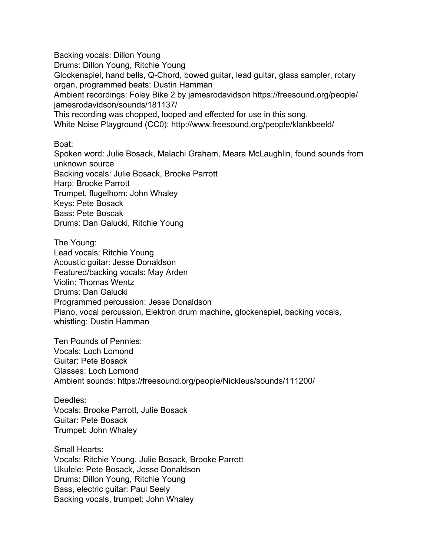Backing vocals: Dillon Young Drums: Dillon Young, Ritchie Young Glockenspiel, hand bells, Q-Chord, bowed guitar, lead guitar, glass sampler, rotary organ, programmed beats: Dustin Hamman Ambient recordings: Foley Bike 2 by jamesrodavidson https://freesound.org/people/ jamesrodavidson/sounds/181137/ This recording was chopped, looped and effected for use in this song. White Noise Playground (CC0): http://www.freesound.org/people/klankbeeld/

Boat:

Spoken word: Julie Bosack, Malachi Graham, Meara McLaughlin, found sounds from unknown source Backing vocals: Julie Bosack, Brooke Parrott Harp: Brooke Parrott Trumpet, flugelhorn: John Whaley Keys: Pete Bosack Bass: Pete Boscak Drums: Dan Galucki, Ritchie Young

The Young: Lead vocals: Ritchie Young Acoustic guitar: Jesse Donaldson Featured/backing vocals: May Arden Violin: Thomas Wentz Drums: Dan Galucki Programmed percussion: Jesse Donaldson Piano, vocal percussion, Elektron drum machine, glockenspiel, backing vocals, whistling: Dustin Hamman

Ten Pounds of Pennies: Vocals: Loch Lomond Guitar: Pete Bosack Glasses: Loch Lomond Ambient sounds: https://freesound.org/people/Nickleus/sounds/111200/

Deedles: Vocals: Brooke Parrott, Julie Bosack Guitar: Pete Bosack Trumpet: John Whaley

Small Hearts: Vocals: Ritchie Young, Julie Bosack, Brooke Parrott Ukulele: Pete Bosack, Jesse Donaldson Drums: Dillon Young, Ritchie Young Bass, electric guitar: Paul Seely Backing vocals, trumpet: John Whaley